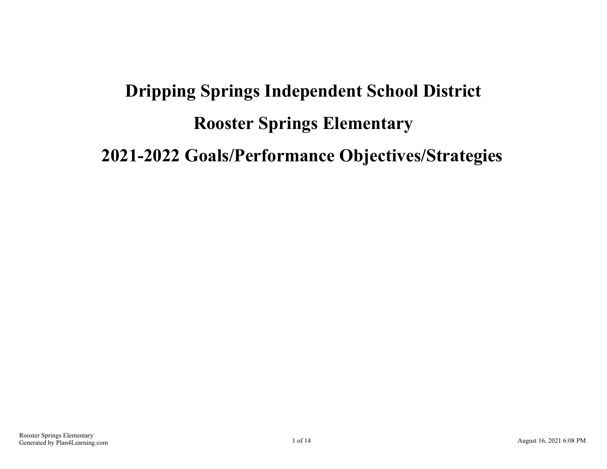# **Dripping Springs Independent School District Rooster Springs Elementary 2021-2022 Goals/Performance Objectives/Strategies**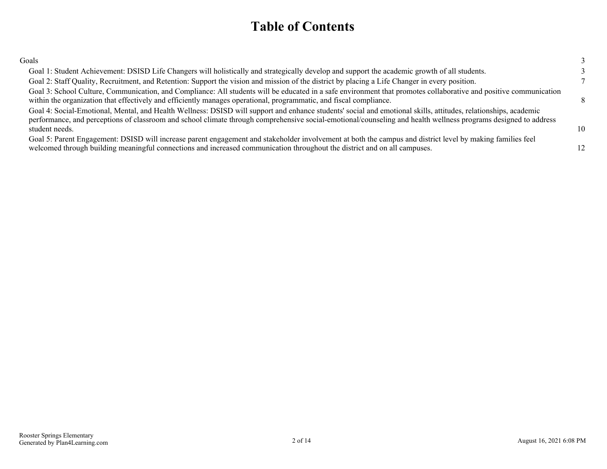### **Table of Contents**

| Goals                                                                                                                                                                                                                                                                                                                                                |                 |
|------------------------------------------------------------------------------------------------------------------------------------------------------------------------------------------------------------------------------------------------------------------------------------------------------------------------------------------------------|-----------------|
| Goal 1: Student Achievement: DSISD Life Changers will holistically and strategically develop and support the academic growth of all students.                                                                                                                                                                                                        |                 |
| Goal 2: Staff Quality, Recruitment, and Retention: Support the vision and mission of the district by placing a Life Changer in every position.                                                                                                                                                                                                       |                 |
| Goal 3: School Culture, Communication, and Compliance: All students will be educated in a safe environment that promotes collaborative and positive communication<br>within the organization that effectively and efficiently manages operational, programmatic, and fiscal compliance.                                                              | $\mathbf{R}$    |
| Goal 4: Social-Emotional, Mental, and Health Wellness: DSISD will support and enhance students' social and emotional skills, attitudes, relationships, academic<br>performance, and perceptions of classroom and school climate through comprehensive social-emotional/counseling and health wellness programs designed to address<br>student needs. | 10 <sup>1</sup> |
| Goal 5: Parent Engagement: DSISD will increase parent engagement and stakeholder involvement at both the campus and district level by making families feel<br>welcomed through building meaningful connections and increased communication throughout the district and on all campuses.                                                              |                 |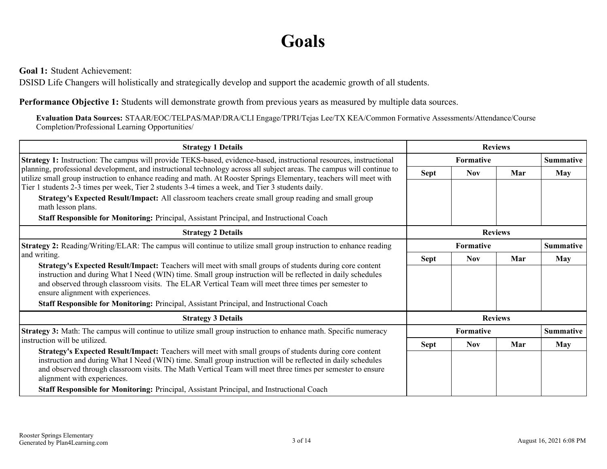## **Goals**

<span id="page-2-0"></span>**Goal 1:** Student Achievement:

DSISD Life Changers will holistically and strategically develop and support the academic growth of all students.

**Performance Objective 1:** Students will demonstrate growth from previous years as measured by multiple data sources.

**Evaluation Data Sources:** STAAR/EOC/TELPAS/MAP/DRA/CLI Engage/TPRI/Tejas Lee/TX KEA/Common Formative Assessments/Attendance/Course Completion/Professional Learning Opportunities/

| <b>Strategy 1 Details</b>                                                                                                                                                                                                                                                                                                                                                                                                                                               |                | <b>Reviews</b>   |     |                  |  |  |
|-------------------------------------------------------------------------------------------------------------------------------------------------------------------------------------------------------------------------------------------------------------------------------------------------------------------------------------------------------------------------------------------------------------------------------------------------------------------------|----------------|------------------|-----|------------------|--|--|
| Strategy 1: Instruction: The campus will provide TEKS-based, evidence-based, instructional resources, instructional                                                                                                                                                                                                                                                                                                                                                     |                | Formative        |     | <b>Summative</b> |  |  |
| planning, professional development, and instructional technology across all subject areas. The campus will continue to<br>utilize small group instruction to enhance reading and math. At Rooster Springs Elementary, teachers will meet with                                                                                                                                                                                                                           | <b>Sept</b>    | <b>Nov</b>       | Mar | <b>May</b>       |  |  |
| Tier 1 students 2-3 times per week, Tier 2 students 3-4 times a week, and Tier 3 students daily.                                                                                                                                                                                                                                                                                                                                                                        |                |                  |     |                  |  |  |
| Strategy's Expected Result/Impact: All classroom teachers create small group reading and small group<br>math lesson plans.                                                                                                                                                                                                                                                                                                                                              |                |                  |     |                  |  |  |
| Staff Responsible for Monitoring: Principal, Assistant Principal, and Instructional Coach                                                                                                                                                                                                                                                                                                                                                                               |                |                  |     |                  |  |  |
| <b>Strategy 2 Details</b>                                                                                                                                                                                                                                                                                                                                                                                                                                               | <b>Reviews</b> |                  |     |                  |  |  |
| <b>Strategy 2:</b> Reading/Writing/ELAR: The campus will continue to utilize small group instruction to enhance reading                                                                                                                                                                                                                                                                                                                                                 | Formative      |                  |     | <b>Summative</b> |  |  |
| and writing.                                                                                                                                                                                                                                                                                                                                                                                                                                                            | <b>Sept</b>    | <b>Nov</b>       | Mar | <b>May</b>       |  |  |
| Strategy's Expected Result/Impact: Teachers will meet with small groups of students during core content<br>instruction and during What I Need (WIN) time. Small group instruction will be reflected in daily schedules<br>and observed through classroom visits. The ELAR Vertical Team will meet three times per semester to<br>ensure alignment with experiences.                                                                                                     |                |                  |     |                  |  |  |
| Staff Responsible for Monitoring: Principal, Assistant Principal, and Instructional Coach                                                                                                                                                                                                                                                                                                                                                                               |                |                  |     |                  |  |  |
| <b>Strategy 3 Details</b>                                                                                                                                                                                                                                                                                                                                                                                                                                               |                | <b>Reviews</b>   |     |                  |  |  |
| <b>Strategy 3:</b> Math: The campus will continue to utilize small group instruction to enhance math. Specific numeracy                                                                                                                                                                                                                                                                                                                                                 |                | <b>Formative</b> |     | <b>Summative</b> |  |  |
| instruction will be utilized.                                                                                                                                                                                                                                                                                                                                                                                                                                           | <b>Sept</b>    | <b>Nov</b>       | Mar | <b>May</b>       |  |  |
| Strategy's Expected Result/Impact: Teachers will meet with small groups of students during core content<br>instruction and during What I Need (WIN) time. Small group instruction will be reflected in daily schedules<br>and observed through classroom visits. The Math Vertical Team will meet three times per semester to ensure<br>alignment with experiences.<br><b>Staff Responsible for Monitoring:</b> Principal, Assistant Principal, and Instructional Coach |                |                  |     |                  |  |  |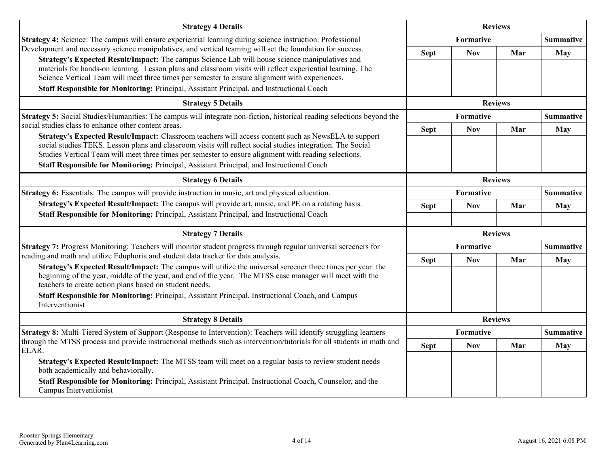| <b>Sept</b>    | <b>Formative</b><br><b>Nov</b> | Mar | <b>Summative</b><br>May          |
|----------------|--------------------------------|-----|----------------------------------|
|                |                                |     |                                  |
|                |                                |     |                                  |
|                |                                |     |                                  |
|                | <b>Formative</b>               |     | <b>Summative</b>                 |
| <b>Sept</b>    | <b>Nov</b>                     | Mar | May                              |
| <b>Reviews</b> |                                |     |                                  |
|                | <b>Formative</b>               |     | <b>Summative</b>                 |
| <b>Sept</b>    | <b>Nov</b>                     | Mar | <b>May</b>                       |
|                |                                |     |                                  |
|                | <b>Formative</b>               |     | <b>Summative</b>                 |
| <b>Sept</b>    | <b>Nov</b>                     | Mar | <b>May</b>                       |
| <b>Reviews</b> |                                |     |                                  |
|                | <b>Formative</b>               |     | <b>Summative</b>                 |
| <b>Sept</b>    | <b>Nov</b>                     | Mar | <b>May</b>                       |
|                |                                |     | <b>Reviews</b><br><b>Reviews</b> |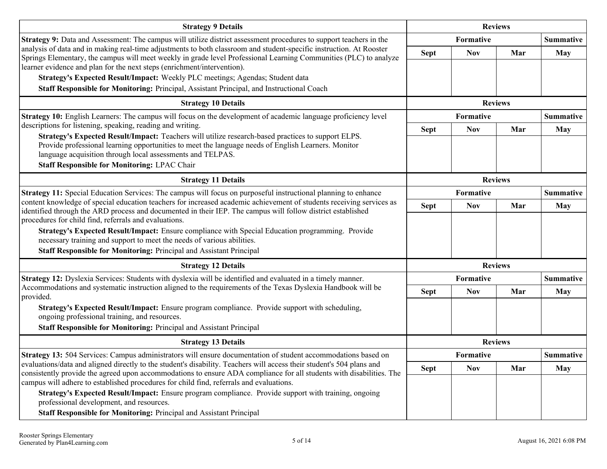| <b>Strategy 9 Details</b>                                                                                                                                                                                                                                                                                                                |             | <b>Reviews</b> |                |                  |
|------------------------------------------------------------------------------------------------------------------------------------------------------------------------------------------------------------------------------------------------------------------------------------------------------------------------------------------|-------------|----------------|----------------|------------------|
| Strategy 9: Data and Assessment: The campus will utilize district assessment procedures to support teachers in the                                                                                                                                                                                                                       |             | Formative      |                | <b>Summative</b> |
| analysis of data and in making real-time adjustments to both classroom and student-specific instruction. At Rooster<br>Springs Elementary, the campus will meet weekly in grade level Professional Learning Communities (PLC) to analyze<br>learner evidence and plan for the next steps (enrichment/intervention).                      | <b>Sept</b> | <b>Nov</b>     | Mar            | <b>May</b>       |
| Strategy's Expected Result/Impact: Weekly PLC meetings; Agendas; Student data                                                                                                                                                                                                                                                            |             |                |                |                  |
| Staff Responsible for Monitoring: Principal, Assistant Principal, and Instructional Coach                                                                                                                                                                                                                                                |             |                |                |                  |
| <b>Strategy 10 Details</b>                                                                                                                                                                                                                                                                                                               |             |                | <b>Reviews</b> |                  |
| Strategy 10: English Learners: The campus will focus on the development of academic language proficiency level                                                                                                                                                                                                                           |             | Formative      |                | <b>Summative</b> |
| descriptions for listening, speaking, reading and writing.                                                                                                                                                                                                                                                                               | <b>Sept</b> | <b>Nov</b>     | Mar            | <b>May</b>       |
| Strategy's Expected Result/Impact: Teachers will utilize research-based practices to support ELPS.<br>Provide professional learning opportunities to meet the language needs of English Learners. Monitor<br>language acquisition through local assessments and TELPAS.<br><b>Staff Responsible for Monitoring: LPAC Chair</b>           |             |                |                |                  |
| <b>Strategy 11 Details</b>                                                                                                                                                                                                                                                                                                               |             | <b>Reviews</b> |                |                  |
| Strategy 11: Special Education Services: The campus will focus on purposeful instructional planning to enhance                                                                                                                                                                                                                           | Formative   |                |                | <b>Summative</b> |
| content knowledge of special education teachers for increased academic achievement of students receiving services as<br>identified through the ARD process and documented in their IEP. The campus will follow district established<br>procedures for child find, referrals and evaluations.                                             | <b>Sept</b> | <b>Nov</b>     | Mar            | <b>May</b>       |
| Strategy's Expected Result/Impact: Ensure compliance with Special Education programming. Provide<br>necessary training and support to meet the needs of various abilities.                                                                                                                                                               |             |                |                |                  |
| Staff Responsible for Monitoring: Principal and Assistant Principal                                                                                                                                                                                                                                                                      |             |                |                |                  |
| <b>Strategy 12 Details</b>                                                                                                                                                                                                                                                                                                               |             |                | <b>Reviews</b> |                  |
| Strategy 12: Dyslexia Services: Students with dyslexia will be identified and evaluated in a timely manner.<br>Accommodations and systematic instruction aligned to the requirements of the Texas Dyslexia Handbook will be                                                                                                              | Formative   |                |                | <b>Summative</b> |
| provided.                                                                                                                                                                                                                                                                                                                                | <b>Sept</b> | <b>Nov</b>     | Mar            | <b>May</b>       |
| Strategy's Expected Result/Impact: Ensure program compliance. Provide support with scheduling,<br>ongoing professional training, and resources.                                                                                                                                                                                          |             |                |                |                  |
| Staff Responsible for Monitoring: Principal and Assistant Principal                                                                                                                                                                                                                                                                      |             |                |                |                  |
| <b>Strategy 13 Details</b>                                                                                                                                                                                                                                                                                                               |             | <b>Reviews</b> |                |                  |
| Strategy 13: 504 Services: Campus administrators will ensure documentation of student accommodations based on                                                                                                                                                                                                                            |             | Formative      |                | <b>Summative</b> |
| evaluations/data and aligned directly to the student's disability. Teachers will access their student's 504 plans and<br>consistently provide the agreed upon accommodations to ensure ADA compliance for all students with disabilities. The<br>campus will adhere to established procedures for child find, referrals and evaluations. | <b>Sept</b> | <b>Nov</b>     | Mar            | <b>May</b>       |
| Strategy's Expected Result/Impact: Ensure program compliance. Provide support with training, ongoing<br>professional development, and resources.                                                                                                                                                                                         |             |                |                |                  |
| Staff Responsible for Monitoring: Principal and Assistant Principal                                                                                                                                                                                                                                                                      |             |                |                |                  |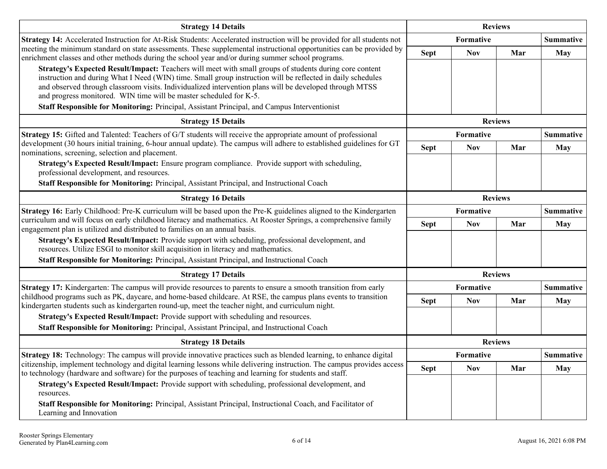| <b>Strategy 14 Details</b>                                                                                                                                                                                                                                                                                                                                                                                                                                                                              |                  | <b>Reviews</b>   |                |                  |  |
|---------------------------------------------------------------------------------------------------------------------------------------------------------------------------------------------------------------------------------------------------------------------------------------------------------------------------------------------------------------------------------------------------------------------------------------------------------------------------------------------------------|------------------|------------------|----------------|------------------|--|
| Strategy 14: Accelerated Instruction for At-Risk Students: Accelerated instruction will be provided for all students not                                                                                                                                                                                                                                                                                                                                                                                |                  | <b>Formative</b> |                | <b>Summative</b> |  |
| meeting the minimum standard on state assessments. These supplemental instructional opportunities can be provided by<br>enrichment classes and other methods during the school year and/or during summer school programs.                                                                                                                                                                                                                                                                               | <b>Sept</b>      | <b>Nov</b>       | Mar            | <b>May</b>       |  |
| Strategy's Expected Result/Impact: Teachers will meet with small groups of students during core content<br>instruction and during What I Need (WIN) time. Small group instruction will be reflected in daily schedules<br>and observed through classroom visits. Individualized intervention plans will be developed through MTSS<br>and progress monitored. WIN time will be master scheduled for K-5.<br>Staff Responsible for Monitoring: Principal, Assistant Principal, and Campus Interventionist |                  |                  |                |                  |  |
| <b>Strategy 15 Details</b>                                                                                                                                                                                                                                                                                                                                                                                                                                                                              | <b>Reviews</b>   |                  |                |                  |  |
| Strategy 15: Gifted and Talented: Teachers of G/T students will receive the appropriate amount of professional                                                                                                                                                                                                                                                                                                                                                                                          |                  | <b>Formative</b> |                | <b>Summative</b> |  |
| development (30 hours initial training, 6-hour annual update). The campus will adhere to established guidelines for GT<br>nominations, screening, selection and placement.                                                                                                                                                                                                                                                                                                                              | <b>Sept</b>      | <b>Nov</b>       | Mar            | <b>May</b>       |  |
| Strategy's Expected Result/Impact: Ensure program compliance. Provide support with scheduling,<br>professional development, and resources.                                                                                                                                                                                                                                                                                                                                                              |                  |                  |                |                  |  |
| Staff Responsible for Monitoring: Principal, Assistant Principal, and Instructional Coach                                                                                                                                                                                                                                                                                                                                                                                                               |                  |                  |                |                  |  |
| <b>Strategy 16 Details</b>                                                                                                                                                                                                                                                                                                                                                                                                                                                                              |                  | <b>Reviews</b>   |                |                  |  |
| Strategy 16: Early Childhood: Pre-K curriculum will be based upon the Pre-K guidelines aligned to the Kindergarten                                                                                                                                                                                                                                                                                                                                                                                      | <b>Formative</b> |                  |                | <b>Summative</b> |  |
| curriculum and will focus on early childhood literacy and mathematics. At Rooster Springs, a comprehensive family<br>engagement plan is utilized and distributed to families on an annual basis.                                                                                                                                                                                                                                                                                                        | <b>Sept</b>      | <b>Nov</b>       | Mar            | <b>May</b>       |  |
| Strategy's Expected Result/Impact: Provide support with scheduling, professional development, and<br>resources. Utilize ESGI to monitor skill acquisition in literacy and mathematics.                                                                                                                                                                                                                                                                                                                  |                  |                  |                |                  |  |
| Staff Responsible for Monitoring: Principal, Assistant Principal, and Instructional Coach                                                                                                                                                                                                                                                                                                                                                                                                               |                  |                  |                |                  |  |
| <b>Strategy 17 Details</b>                                                                                                                                                                                                                                                                                                                                                                                                                                                                              |                  |                  | <b>Reviews</b> |                  |  |
| Strategy 17: Kindergarten: The campus will provide resources to parents to ensure a smooth transition from early                                                                                                                                                                                                                                                                                                                                                                                        |                  | Formative        |                | <b>Summative</b> |  |
| childhood programs such as PK, daycare, and home-based childcare. At RSE, the campus plans events to transition<br>kindergarten students such as kindergarten round-up, meet the teacher night, and curriculum night.                                                                                                                                                                                                                                                                                   | <b>Sept</b>      | <b>Nov</b>       | Mar            | May              |  |
| Strategy's Expected Result/Impact: Provide support with scheduling and resources.                                                                                                                                                                                                                                                                                                                                                                                                                       |                  |                  |                |                  |  |
| Staff Responsible for Monitoring: Principal, Assistant Principal, and Instructional Coach                                                                                                                                                                                                                                                                                                                                                                                                               |                  |                  |                |                  |  |
| <b>Strategy 18 Details</b>                                                                                                                                                                                                                                                                                                                                                                                                                                                                              |                  | <b>Reviews</b>   |                |                  |  |
| Strategy 18: Technology: The campus will provide innovative practices such as blended learning, to enhance digital                                                                                                                                                                                                                                                                                                                                                                                      |                  | Formative        |                | <b>Summative</b> |  |
| citizenship, implement technology and digital learning lessons while delivering instruction. The campus provides access<br>to technology (hardware and software) for the purposes of teaching and learning for students and staff.                                                                                                                                                                                                                                                                      | <b>Sept</b>      | <b>Nov</b>       | Mar            | <b>May</b>       |  |
| Strategy's Expected Result/Impact: Provide support with scheduling, professional development, and<br>resources.                                                                                                                                                                                                                                                                                                                                                                                         |                  |                  |                |                  |  |
| Staff Responsible for Monitoring: Principal, Assistant Principal, Instructional Coach, and Facilitator of<br>Learning and Innovation                                                                                                                                                                                                                                                                                                                                                                    |                  |                  |                |                  |  |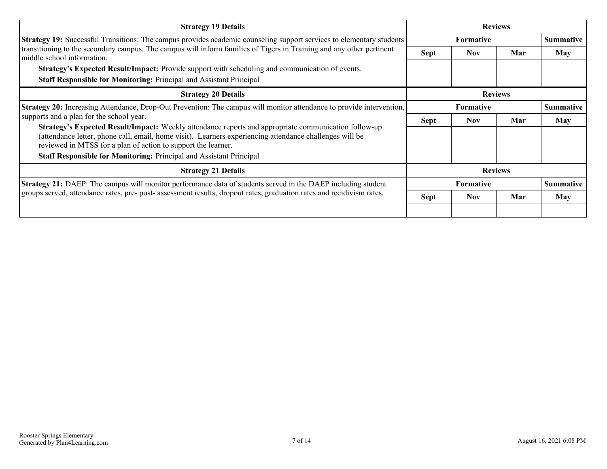| <b>Strategy 19 Details</b>                                                                                                                                                                                                                                                       | <b>Reviews</b>   |                  |     |                  |
|----------------------------------------------------------------------------------------------------------------------------------------------------------------------------------------------------------------------------------------------------------------------------------|------------------|------------------|-----|------------------|
| Strategy 19: Successful Transitions: The campus provides academic counseling support services to elementary students                                                                                                                                                             |                  | <b>Formative</b> |     | <b>Summative</b> |
| transitioning to the secondary campus. The campus will inform families of Tigers in Training and any other pertinent<br>middle school information.                                                                                                                               | <b>Sept</b>      | <b>Nov</b>       | Mar | May              |
| <b>Strategy's Expected Result/Impact:</b> Provide support with scheduling and communication of events.                                                                                                                                                                           |                  |                  |     |                  |
| Staff Responsible for Monitoring: Principal and Assistant Principal                                                                                                                                                                                                              |                  |                  |     |                  |
| <b>Strategy 20 Details</b>                                                                                                                                                                                                                                                       | <b>Reviews</b>   |                  |     |                  |
| Strategy 20: Increasing Attendance, Drop-Out Prevention: The campus will monitor attendance to provide intervention,<br>supports and a plan for the school year.                                                                                                                 | <b>Formative</b> |                  |     | <b>Summative</b> |
|                                                                                                                                                                                                                                                                                  | Sept             | <b>Nov</b>       | Mar | <b>May</b>       |
| Strategy's Expected Result/Impact: Weekly attendance reports and appropriate communication follow-up<br>(attendance letter, phone call, email, home visit). Learners experiencing attendance challenges will be<br>reviewed in MTSS for a plan of action to support the learner. |                  |                  |     |                  |
| <b>Staff Responsible for Monitoring: Principal and Assistant Principal</b>                                                                                                                                                                                                       |                  |                  |     |                  |
| <b>Strategy 21 Details</b>                                                                                                                                                                                                                                                       | <b>Reviews</b>   |                  |     |                  |
| <b>Strategy 21:</b> DAEP: The campus will monitor performance data of students served in the DAEP including student                                                                                                                                                              | <b>Formative</b> |                  |     | <b>Summative</b> |
| groups served, attendance rates, pre- post- assessment results, dropout rates, graduation rates and recidivism rates.                                                                                                                                                            | <b>Sept</b>      | <b>Nov</b>       | Mar | May              |
|                                                                                                                                                                                                                                                                                  |                  |                  |     |                  |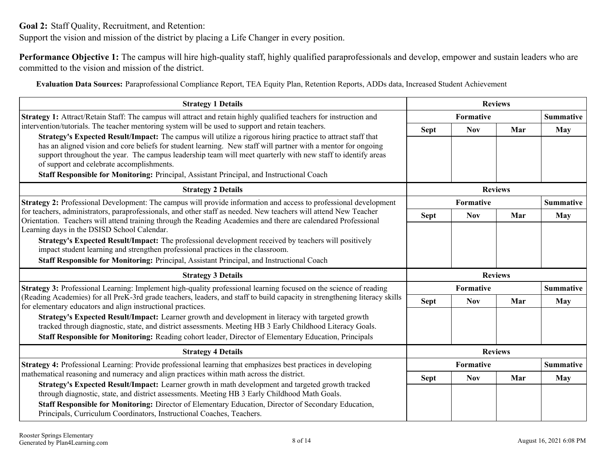<span id="page-7-0"></span>**Goal 2:** Staff Quality, Recruitment, and Retention:

Support the vision and mission of the district by placing a Life Changer in every position.

**Performance Objective 1:** The campus will hire high-quality staff, highly qualified paraprofessionals and develop, empower and sustain leaders who are committed to the vision and mission of the district.

**Evaluation Data Sources:** Paraprofessional Compliance Report, TEA Equity Plan, Retention Reports, ADDs data, Increased Student Achievement

| <b>Strategy 1 Details</b>                                                                                                                                                                                                                                                                                                                                                                 |                | <b>Reviews</b>   |     |                  |
|-------------------------------------------------------------------------------------------------------------------------------------------------------------------------------------------------------------------------------------------------------------------------------------------------------------------------------------------------------------------------------------------|----------------|------------------|-----|------------------|
| <b>Strategy 1:</b> Attract/Retain Staff: The campus will attract and retain highly qualified teachers for instruction and                                                                                                                                                                                                                                                                 |                | <b>Formative</b> |     | <b>Summative</b> |
| intervention/tutorials. The teacher mentoring system will be used to support and retain teachers.                                                                                                                                                                                                                                                                                         | <b>Sept</b>    | <b>Nov</b>       | Mar | <b>May</b>       |
| Strategy's Expected Result/Impact: The campus will utilize a rigorous hiring practice to attract staff that<br>has an aligned vision and core beliefs for student learning. New staff will partner with a mentor for ongoing<br>support throughout the year. The campus leadership team will meet quarterly with new staff to identify areas<br>of support and celebrate accomplishments. |                |                  |     |                  |
| Staff Responsible for Monitoring: Principal, Assistant Principal, and Instructional Coach                                                                                                                                                                                                                                                                                                 |                |                  |     |                  |
| <b>Strategy 2 Details</b>                                                                                                                                                                                                                                                                                                                                                                 |                | <b>Reviews</b>   |     |                  |
| <b>Strategy 2:</b> Professional Development: The campus will provide information and access to professional development                                                                                                                                                                                                                                                                   |                | Formative        |     | <b>Summative</b> |
| for teachers, administrators, paraprofessionals, and other staff as needed. New teachers will attend New Teacher<br>Orientation. Teachers will attend training through the Reading Academies and there are calendared Professional                                                                                                                                                        | <b>Sept</b>    | <b>Nov</b>       | Mar | <b>May</b>       |
| Learning days in the DSISD School Calendar.                                                                                                                                                                                                                                                                                                                                               |                |                  |     |                  |
| <b>Strategy's Expected Result/Impact:</b> The professional development received by teachers will positively                                                                                                                                                                                                                                                                               |                |                  |     |                  |
| impact student learning and strengthen professional practices in the classroom.                                                                                                                                                                                                                                                                                                           |                |                  |     |                  |
| Staff Responsible for Monitoring: Principal, Assistant Principal, and Instructional Coach                                                                                                                                                                                                                                                                                                 |                |                  |     |                  |
| <b>Strategy 3 Details</b>                                                                                                                                                                                                                                                                                                                                                                 | <b>Reviews</b> |                  |     |                  |
| Strategy 3: Professional Learning: Implement high-quality professional learning focused on the science of reading                                                                                                                                                                                                                                                                         |                | <b>Formative</b> |     | <b>Summative</b> |
| (Reading Academies) for all PreK-3rd grade teachers, leaders, and staff to build capacity in strengthening literacy skills<br>for elementary educators and align instructional practices.                                                                                                                                                                                                 | <b>Sept</b>    | <b>Nov</b>       | Mar | May              |
| Strategy's Expected Result/Impact: Learner growth and development in literacy with targeted growth<br>tracked through diagnostic, state, and district assessments. Meeting HB 3 Early Childhood Literacy Goals.                                                                                                                                                                           |                |                  |     |                  |
| Staff Responsible for Monitoring: Reading cohort leader, Director of Elementary Education, Principals                                                                                                                                                                                                                                                                                     |                |                  |     |                  |
| <b>Strategy 4 Details</b>                                                                                                                                                                                                                                                                                                                                                                 |                | <b>Reviews</b>   |     |                  |
| <b>Strategy 4:</b> Professional Learning: Provide professional learning that emphasizes best practices in developing                                                                                                                                                                                                                                                                      |                | <b>Formative</b> |     | <b>Summative</b> |
| mathematical reasoning and numeracy and align practices within math across the district.                                                                                                                                                                                                                                                                                                  | <b>Sept</b>    | <b>Nov</b>       | Mar | <b>May</b>       |
| Strategy's Expected Result/Impact: Learner growth in math development and targeted growth tracked<br>through diagnostic, state, and district assessments. Meeting HB 3 Early Childhood Math Goals.                                                                                                                                                                                        |                |                  |     |                  |
| Staff Responsible for Monitoring: Director of Elementary Education, Director of Secondary Education,<br>Principals, Curriculum Coordinators, Instructional Coaches, Teachers.                                                                                                                                                                                                             |                |                  |     |                  |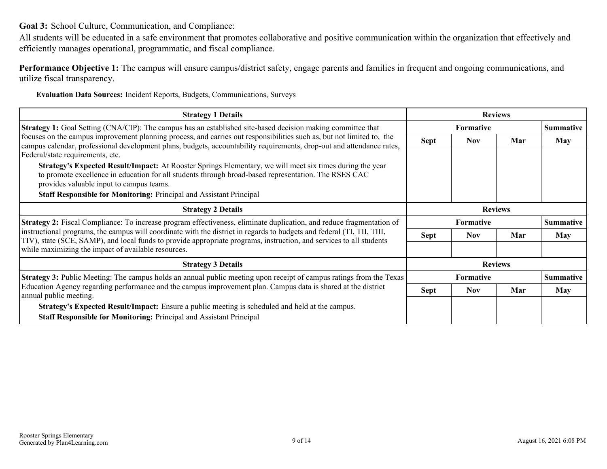<span id="page-8-0"></span>**Goal 3:** School Culture, Communication, and Compliance:

All students will be educated in a safe environment that promotes collaborative and positive communication within the organization that effectively and efficiently manages operational, programmatic, and fiscal compliance.

**Performance Objective 1:** The campus will ensure campus/district safety, engage parents and families in frequent and ongoing communications, and utilize fiscal transparency.

**Evaluation Data Sources:** Incident Reports, Budgets, Communications, Surveys

| <b>Strategy 1 Details</b>                                                                                                                                                                                                                                                          | <b>Reviews</b> |                  |     |                  |  |
|------------------------------------------------------------------------------------------------------------------------------------------------------------------------------------------------------------------------------------------------------------------------------------|----------------|------------------|-----|------------------|--|
| <b>Strategy 1:</b> Goal Setting (CNA/CIP): The campus has an established site-based decision making committee that                                                                                                                                                                 |                | <b>Formative</b> |     | <b>Summative</b> |  |
| focuses on the campus improvement planning process, and carries out responsibilities such as, but not limited to, the<br>campus calendar, professional development plans, budgets, accountability requirements, drop-out and attendance rates,<br>Federal/state requirements, etc. | <b>Sept</b>    | <b>Nov</b>       | Mar | <b>May</b>       |  |
| Strategy's Expected Result/Impact: At Rooster Springs Elementary, we will meet six times during the year<br>to promote excellence in education for all students through broad-based representation. The RSES CAC<br>provides valuable input to campus teams.                       |                |                  |     |                  |  |
| <b>Staff Responsible for Monitoring: Principal and Assistant Principal</b>                                                                                                                                                                                                         |                |                  |     |                  |  |
| <b>Strategy 2 Details</b>                                                                                                                                                                                                                                                          | <b>Reviews</b> |                  |     |                  |  |
| <b>Strategy 2:</b> Fiscal Compliance: To increase program effectiveness, eliminate duplication, and reduce fragmentation of                                                                                                                                                        |                | <b>Formative</b> |     | <b>Summative</b> |  |
| instructional programs, the campus will coordinate with the district in regards to budgets and federal (TI, TII, TIII,<br>TIV), state (SCE, SAMP), and local funds to provide appropriate programs, instruction, and services to all students                                      | <b>Sept</b>    | <b>Nov</b>       | Mar | <b>May</b>       |  |
| while maximizing the impact of available resources.                                                                                                                                                                                                                                |                |                  |     |                  |  |
| <b>Strategy 3 Details</b>                                                                                                                                                                                                                                                          | <b>Reviews</b> |                  |     |                  |  |
|                                                                                                                                                                                                                                                                                    |                |                  |     |                  |  |
| <b>Strategy 3:</b> Public Meeting: The campus holds an annual public meeting upon receipt of campus ratings from the Texas                                                                                                                                                         |                | <b>Formative</b> |     | <b>Summative</b> |  |
| Education Agency regarding performance and the campus improvement plan. Campus data is shared at the district<br>annual public meeting.                                                                                                                                            | <b>Sept</b>    | <b>Nov</b>       | Mar | <b>May</b>       |  |
| <b>Strategy's Expected Result/Impact:</b> Ensure a public meeting is scheduled and held at the campus.                                                                                                                                                                             |                |                  |     |                  |  |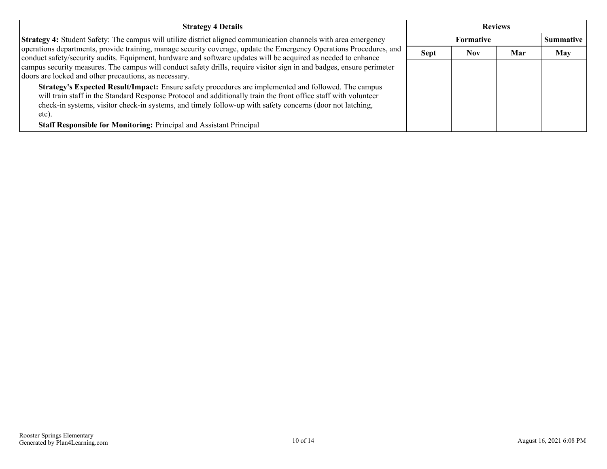| <b>Strategy 4 Details</b>                                                                                                                                                                                                                                                                                                                     | <b>Reviews</b> |                  |     |                  |
|-----------------------------------------------------------------------------------------------------------------------------------------------------------------------------------------------------------------------------------------------------------------------------------------------------------------------------------------------|----------------|------------------|-----|------------------|
| Strategy 4: Student Safety: The campus will utilize district aligned communication channels with area emergency                                                                                                                                                                                                                               |                | <b>Formative</b> |     | <b>Summative</b> |
| operations departments, provide training, manage security coverage, update the Emergency Operations Procedures, and<br>conduct safety/security audits. Equipment, hardware and software updates will be acquired as needed to enhance                                                                                                         | <b>Sept</b>    | Nov              | Mar | <b>May</b>       |
| campus security measures. The campus will conduct safety drills, require visitor sign in and badges, ensure perimeter<br>doors are locked and other precautions, as necessary.                                                                                                                                                                |                |                  |     |                  |
| Strategy's Expected Result/Impact: Ensure safety procedures are implemented and followed. The campus<br>will train staff in the Standard Response Protocol and additionally train the front office staff with volunteer<br>check-in systems, visitor check-in systems, and timely follow-up with safety concerns (door not latching,<br>etc). |                |                  |     |                  |
| Staff Responsible for Monitoring: Principal and Assistant Principal                                                                                                                                                                                                                                                                           |                |                  |     |                  |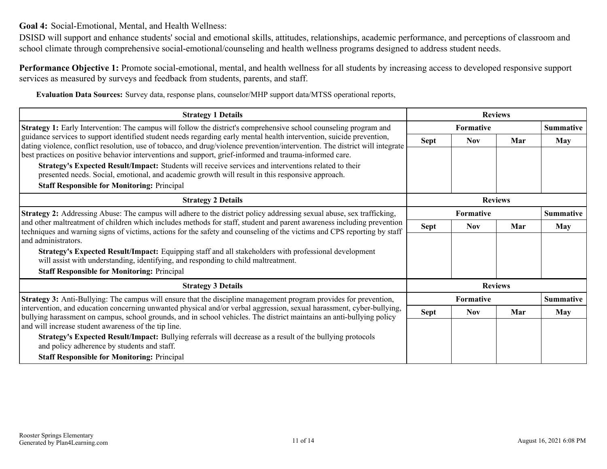<span id="page-10-0"></span>**Goal 4:** Social-Emotional, Mental, and Health Wellness:

DSISD will support and enhance students' social and emotional skills, attitudes, relationships, academic performance, and perceptions of classroom and school climate through comprehensive social-emotional/counseling and health wellness programs designed to address student needs.

**Performance Objective 1:** Promote social-emotional, mental, and health wellness for all students by increasing access to developed responsive support services as measured by surveys and feedback from students, parents, and staff.

**Evaluation Data Sources:** Survey data, response plans, counselor/MHP support data/MTSS operational reports,

| <b>Strategy 1 Details</b>                                                                                                                                                                                                                             |                  | <b>Reviews</b>   |                |                  |
|-------------------------------------------------------------------------------------------------------------------------------------------------------------------------------------------------------------------------------------------------------|------------------|------------------|----------------|------------------|
| Strategy 1: Early Intervention: The campus will follow the district's comprehensive school counseling program and                                                                                                                                     |                  | <b>Formative</b> |                | <b>Summative</b> |
| guidance services to support identified student needs regarding early mental health intervention, suicide prevention,<br>dating violence, conflict resolution, use of tobacco, and drug/violence prevention/intervention. The district will integrate | <b>Sept</b>      | <b>Nov</b>       | Mar            | <b>May</b>       |
| best practices on positive behavior interventions and support, grief-informed and trauma-informed care.                                                                                                                                               |                  |                  |                |                  |
| Strategy's Expected Result/Impact: Students will receive services and interventions related to their                                                                                                                                                  |                  |                  |                |                  |
| presented needs. Social, emotional, and academic growth will result in this responsive approach.                                                                                                                                                      |                  |                  |                |                  |
| <b>Staff Responsible for Monitoring: Principal</b>                                                                                                                                                                                                    |                  |                  |                |                  |
| <b>Strategy 2 Details</b>                                                                                                                                                                                                                             | <b>Reviews</b>   |                  |                |                  |
| Strategy 2: Addressing Abuse: The campus will adhere to the district policy addressing sexual abuse, sex trafficking,                                                                                                                                 | <b>Formative</b> |                  |                | <b>Summative</b> |
| and other maltreatment of children which includes methods for staff, student and parent awareness including prevention<br>techniques and warning signs of victims, actions for the safety and counseling of the victims and CPS reporting by staff    | <b>Sept</b>      | <b>Nov</b>       | Mar            | May              |
| and administrators.                                                                                                                                                                                                                                   |                  |                  |                |                  |
| Strategy's Expected Result/Impact: Equipping staff and all stakeholders with professional development<br>will assist with understanding, identifying, and responding to child maltreatment.                                                           |                  |                  |                |                  |
| <b>Staff Responsible for Monitoring: Principal</b>                                                                                                                                                                                                    |                  |                  |                |                  |
| <b>Strategy 3 Details</b>                                                                                                                                                                                                                             |                  |                  | <b>Reviews</b> |                  |
| <b>Strategy 3:</b> Anti-Bullying: The campus will ensure that the discipline management program provides for prevention,                                                                                                                              |                  | <b>Formative</b> |                | <b>Summative</b> |
| intervention, and education concerning unwanted physical and/or verbal aggression, sexual harassment, cyber-bullying,<br>bullying harassment on campus, school grounds, and in school vehicles. The district maintains an anti-bullying policy        | <b>Sept</b>      | <b>Nov</b>       | Mar            | <b>May</b>       |
| and will increase student awareness of the tip line.                                                                                                                                                                                                  |                  |                  |                |                  |
| Strategy's Expected Result/Impact: Bullying referrals will decrease as a result of the bullying protocols<br>and policy adherence by students and staff.                                                                                              |                  |                  |                |                  |
| <b>Staff Responsible for Monitoring: Principal</b>                                                                                                                                                                                                    |                  |                  |                |                  |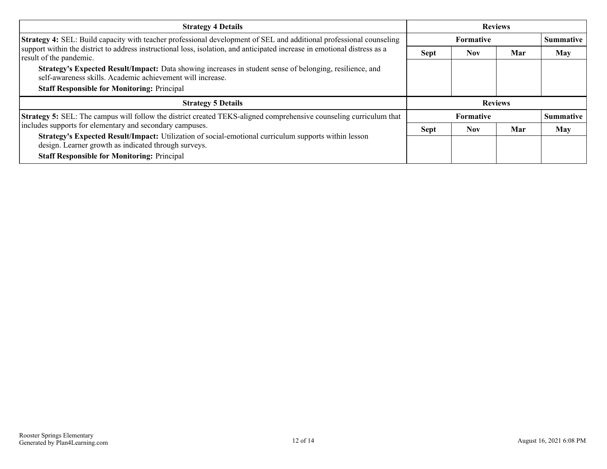| <b>Strategy 4 Details</b>                                                                                                                                              | <b>Reviews</b> |                  |     |                  |
|------------------------------------------------------------------------------------------------------------------------------------------------------------------------|----------------|------------------|-----|------------------|
| Strategy 4: SEL: Build capacity with teacher professional development of SEL and additional professional counseling                                                    |                | <b>Formative</b> |     | <b>Summative</b> |
| support within the district to address instructional loss, isolation, and anticipated increase in emotional distress as a<br>result of the pandemic.                   | <b>Sept</b>    | <b>Nov</b>       | Mar | <b>May</b>       |
| Strategy's Expected Result/Impact: Data showing increases in student sense of belonging, resilience, and<br>self-awareness skills. Academic achievement will increase. |                |                  |     |                  |
| <b>Staff Responsible for Monitoring: Principal</b>                                                                                                                     |                |                  |     |                  |
| <b>Strategy 5 Details</b>                                                                                                                                              | <b>Reviews</b> |                  |     |                  |
| <b>Strategy 5:</b> SEL: The campus will follow the district created TEKS-aligned comprehensive counseling curriculum that                                              |                | <b>Formative</b> |     | <b>Summative</b> |
| includes supports for elementary and secondary campuses.                                                                                                               | <b>Sept</b>    | <b>Nov</b>       | Mar | May              |
| Strategy's Expected Result/Impact: Utilization of social-emotional curriculum supports within lesson<br>design. Learner growth as indicated through surveys.           |                |                  |     |                  |
| <b>Staff Responsible for Monitoring: Principal</b>                                                                                                                     |                |                  |     |                  |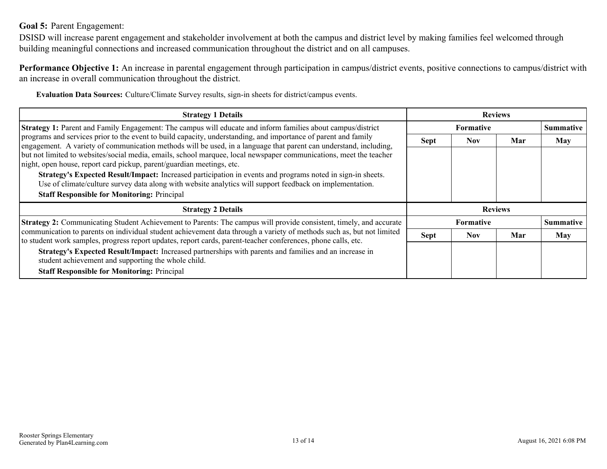### <span id="page-12-0"></span>**Goal 5:** Parent Engagement:

DSISD will increase parent engagement and stakeholder involvement at both the campus and district level by making families feel welcomed through building meaningful connections and increased communication throughout the district and on all campuses.

**Performance Objective 1:** An increase in parental engagement through participation in campus/district events, positive connections to campus/district with an increase in overall communication throughout the district.

**Evaluation Data Sources:** Culture/Climate Survey results, sign-in sheets for district/campus events.

| <b>Strategy 1 Details</b>                                                                                                                                                                                                              | <b>Reviews</b> |                  |     |                  |
|----------------------------------------------------------------------------------------------------------------------------------------------------------------------------------------------------------------------------------------|----------------|------------------|-----|------------------|
| Strategy 1: Parent and Family Engagement: The campus will educate and inform families about campus/district                                                                                                                            |                | <b>Formative</b> |     |                  |
| programs and services prior to the event to build capacity, understanding, and importance of parent and family<br>engagement. A variety of communication methods will be used, in a language that parent can understand, including,    | <b>Sept</b>    | <b>Nov</b>       | Mar | <b>May</b>       |
| but not limited to websites/social media, emails, school marquee, local newspaper communications, meet the teacher<br>night, open house, report card pickup, parent/guardian meetings, etc.                                            |                |                  |     |                  |
| Strategy's Expected Result/Impact: Increased participation in events and programs noted in sign-in sheets.<br>Use of climate/culture survey data along with website analytics will support feedback on implementation.                 |                |                  |     |                  |
| <b>Staff Responsible for Monitoring: Principal</b>                                                                                                                                                                                     |                |                  |     |                  |
| <b>Strategy 2 Details</b>                                                                                                                                                                                                              | <b>Reviews</b> |                  |     |                  |
| Strategy 2: Communicating Student Achievement to Parents: The campus will provide consistent, timely, and accurate                                                                                                                     |                | <b>Formative</b> |     | <b>Summative</b> |
| communication to parents on individual student achievement data through a variety of methods such as, but not limited<br>to student work samples, progress report updates, report cards, parent-teacher conferences, phone calls, etc. | <b>Sept</b>    | <b>Nov</b>       | Mar | <b>May</b>       |
| Strategy's Expected Result/Impact: Increased partnerships with parents and families and an increase in<br>student achievement and supporting the whole child.                                                                          |                |                  |     |                  |
| <b>Staff Responsible for Monitoring: Principal</b>                                                                                                                                                                                     |                |                  |     |                  |